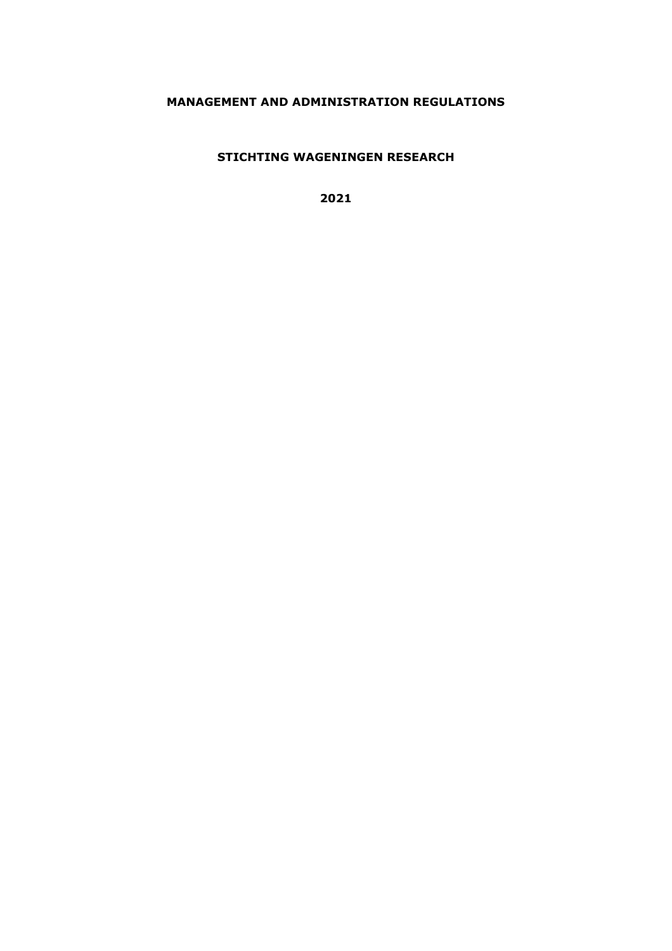# **MANAGEMENT AND ADMINISTRATION REGULATIONS**

**STICHTING WAGENINGEN RESEARCH**

**2021**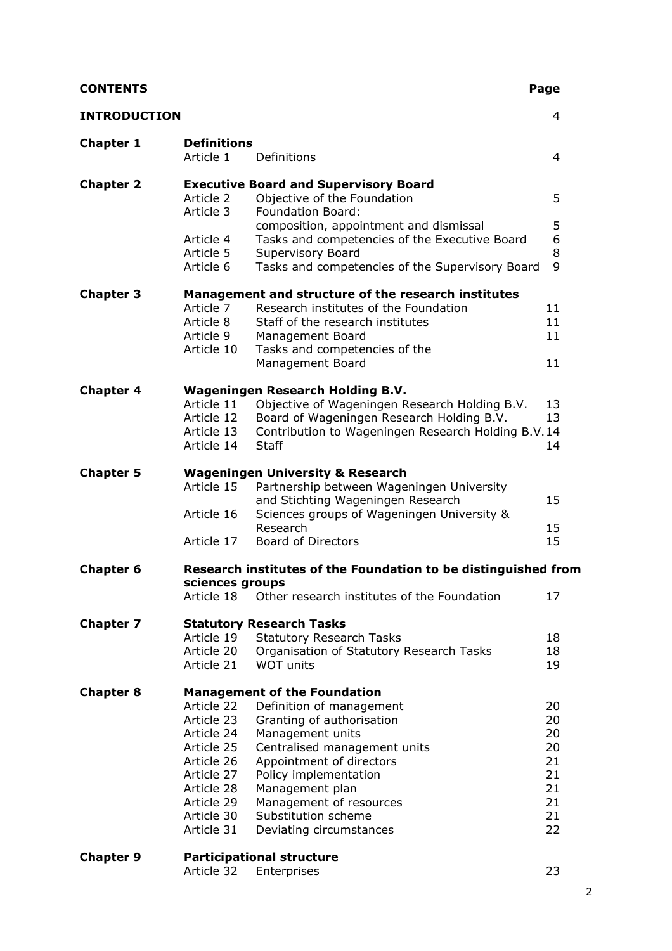| <b>CONTENTS</b> |
|-----------------|
|-----------------|

| <b>CONTENTS</b>     |                                 |                                                                                         | Page     |
|---------------------|---------------------------------|-----------------------------------------------------------------------------------------|----------|
| <b>INTRODUCTION</b> |                                 |                                                                                         | 4        |
| <b>Chapter 1</b>    | <b>Definitions</b><br>Article 1 | Definitions                                                                             | 4        |
| <b>Chapter 2</b>    |                                 | <b>Executive Board and Supervisory Board</b>                                            |          |
|                     | Article 2                       | Objective of the Foundation                                                             | 5        |
|                     | Article 3                       | <b>Foundation Board:</b>                                                                |          |
|                     | Article 4                       | composition, appointment and dismissal<br>Tasks and competencies of the Executive Board | 5<br>6   |
|                     | Article 5                       | Supervisory Board                                                                       | 8        |
|                     | Article 6                       | Tasks and competencies of the Supervisory Board                                         | 9        |
| <b>Chapter 3</b>    |                                 | Management and structure of the research institutes                                     |          |
|                     | Article 7                       | Research institutes of the Foundation                                                   | 11       |
|                     | Article 8                       | Staff of the research institutes                                                        | 11       |
|                     | Article 9                       | Management Board                                                                        | 11       |
|                     | Article 10                      | Tasks and competencies of the                                                           |          |
|                     |                                 | Management Board                                                                        | 11       |
| <b>Chapter 4</b>    |                                 | <b>Wageningen Research Holding B.V.</b>                                                 |          |
|                     | Article 11                      | Objective of Wageningen Research Holding B.V.                                           | 13       |
|                     | Article 12                      | Board of Wageningen Research Holding B.V.                                               | 13       |
|                     | Article 13                      | Contribution to Wageningen Research Holding B.V.14                                      |          |
|                     | Article 14                      | <b>Staff</b>                                                                            | 14       |
| <b>Chapter 5</b>    |                                 | <b>Wageningen University &amp; Research</b>                                             |          |
|                     | Article 15                      | Partnership between Wageningen University                                               |          |
|                     |                                 | and Stichting Wageningen Research                                                       | 15       |
|                     | Article 16                      | Sciences groups of Wageningen University &                                              |          |
|                     | Article 17                      | Research<br><b>Board of Directors</b>                                                   | 15<br>15 |
|                     |                                 |                                                                                         |          |
| <b>Chapter 6</b>    | sciences groups                 | Research institutes of the Foundation to be distinguished from                          |          |
|                     | Article 18                      | Other research institutes of the Foundation                                             | 17       |
| <b>Chapter 7</b>    |                                 | <b>Statutory Research Tasks</b>                                                         |          |
|                     | Article 19                      | <b>Statutory Research Tasks</b>                                                         | 18       |
|                     | Article 20                      | Organisation of Statutory Research Tasks                                                | 18       |
|                     | Article 21                      | <b>WOT units</b>                                                                        | 19       |
| <b>Chapter 8</b>    |                                 | <b>Management of the Foundation</b>                                                     |          |
|                     | Article 22                      | Definition of management                                                                | 20       |
|                     | Article 23                      | Granting of authorisation                                                               | 20       |
|                     | Article 24<br>Article 25        | Management units<br>Centralised management units                                        | 20<br>20 |
|                     | Article 26                      | Appointment of directors                                                                | 21       |
|                     | Article 27                      | Policy implementation                                                                   | 21       |
|                     | Article 28                      | Management plan                                                                         | 21       |
|                     | Article 29                      | Management of resources                                                                 | 21       |
|                     | Article 30                      | Substitution scheme                                                                     | 21       |
|                     | Article 31                      | Deviating circumstances                                                                 | 22       |
|                     |                                 |                                                                                         |          |

| <b>Chapter 9</b> | <b>Participational structure</b> |  |
|------------------|----------------------------------|--|
|------------------|----------------------------------|--|

|  | Article 32 Enterprises | 23 |
|--|------------------------|----|
|--|------------------------|----|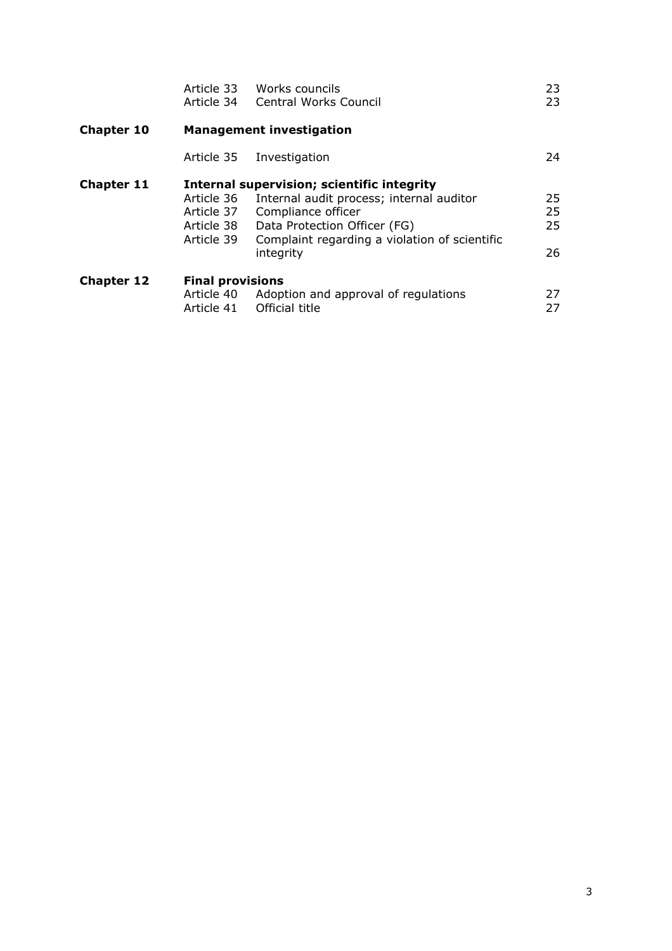|                   | Article 34                                           | Article 33 Works councils<br><b>Central Works Council</b>                                                                                                                                                  | 23<br>23             |  |
|-------------------|------------------------------------------------------|------------------------------------------------------------------------------------------------------------------------------------------------------------------------------------------------------------|----------------------|--|
| <b>Chapter 10</b> | <b>Management investigation</b>                      |                                                                                                                                                                                                            |                      |  |
|                   |                                                      | Article 35 Investigation                                                                                                                                                                                   | 24                   |  |
| <b>Chapter 11</b> | Article 36<br>Article 37<br>Article 38<br>Article 39 | Internal supervision; scientific integrity<br>Internal audit process; internal auditor<br>Compliance officer<br>Data Protection Officer (FG)<br>Complaint regarding a violation of scientific<br>integrity | 25<br>25<br>25<br>26 |  |
| <b>Chapter 12</b> | <b>Final provisions</b><br>Article 41                | Article 40 Adoption and approval of regulations<br>Official title                                                                                                                                          | 27<br>27             |  |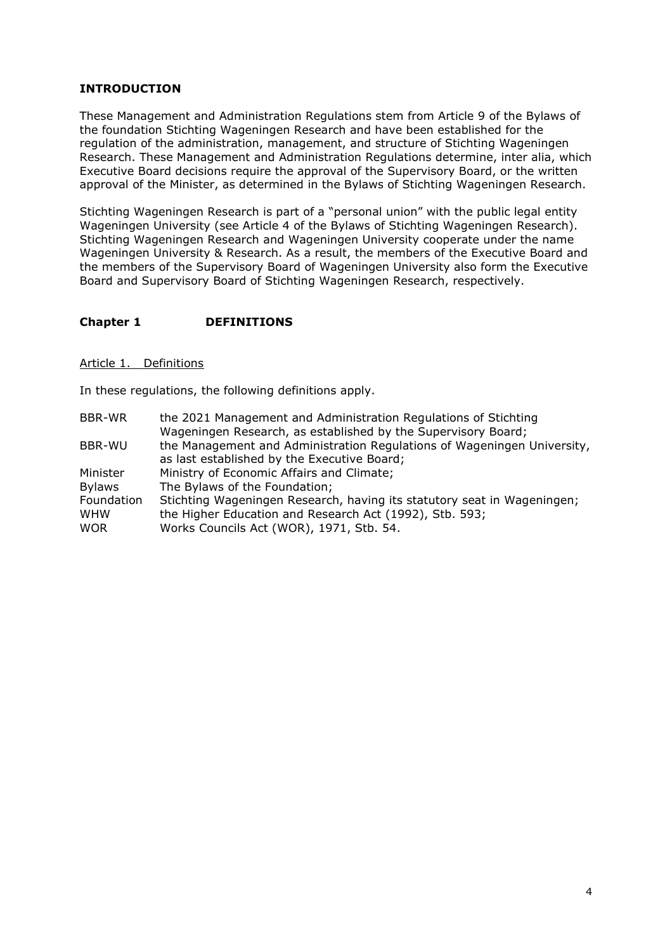# **INTRODUCTION**

These Management and Administration Regulations stem from Article 9 of the Bylaws of the foundation Stichting Wageningen Research and have been established for the regulation of the administration, management, and structure of Stichting Wageningen Research. These Management and Administration Regulations determine, inter alia, which Executive Board decisions require the approval of the Supervisory Board, or the written approval of the Minister, as determined in the Bylaws of Stichting Wageningen Research.

Stichting Wageningen Research is part of a "personal union" with the public legal entity Wageningen University (see Article 4 of the Bylaws of Stichting Wageningen Research). Stichting Wageningen Research and Wageningen University cooperate under the name Wageningen University & Research. As a result, the members of the Executive Board and the members of the Supervisory Board of Wageningen University also form the Executive Board and Supervisory Board of Stichting Wageningen Research, respectively.

# **Chapter 1 DEFINITIONS**

#### Article 1. Definitions

In these regulations, the following definitions apply.

| <b>BBR-WR</b> | the 2021 Management and Administration Regulations of Stichting         |
|---------------|-------------------------------------------------------------------------|
|               | Wageningen Research, as established by the Supervisory Board;           |
| BBR-WU        | the Management and Administration Regulations of Wageningen University, |
|               | as last established by the Executive Board;                             |
| Minister      | Ministry of Economic Affairs and Climate;                               |
| <b>Bylaws</b> | The Bylaws of the Foundation;                                           |
| Foundation    | Stichting Wageningen Research, having its statutory seat in Wageningen; |
| <b>WHW</b>    | the Higher Education and Research Act (1992), Stb. 593;                 |
| <b>WOR</b>    | Works Councils Act (WOR), 1971, Stb. 54.                                |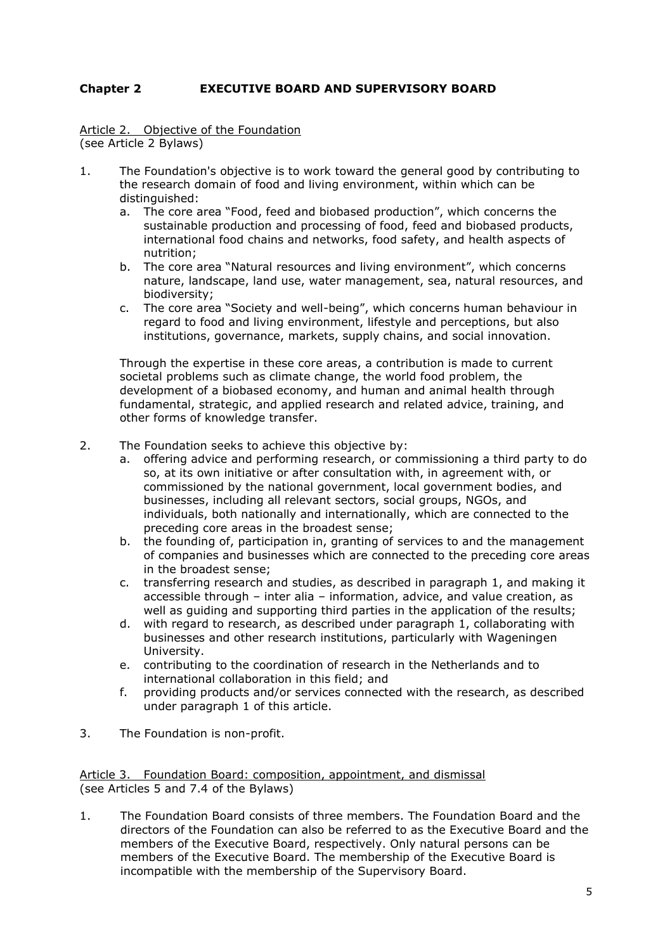# **Chapter 2 EXECUTIVE BOARD AND SUPERVISORY BOARD**

Article 2. Objective of the Foundation (see Article 2 Bylaws)

- 1. The Foundation's objective is to work toward the general good by contributing to the research domain of food and living environment, within which can be distinguished:
	- a. The core area "Food, feed and biobased production", which concerns the sustainable production and processing of food, feed and biobased products, international food chains and networks, food safety, and health aspects of nutrition;
	- b. The core area "Natural resources and living environment", which concerns nature, landscape, land use, water management, sea, natural resources, and biodiversity;
	- c. The core area "Society and well-being", which concerns human behaviour in regard to food and living environment, lifestyle and perceptions, but also institutions, governance, markets, supply chains, and social innovation.

Through the expertise in these core areas, a contribution is made to current societal problems such as climate change, the world food problem, the development of a biobased economy, and human and animal health through fundamental, strategic, and applied research and related advice, training, and other forms of knowledge transfer.

- 2. The Foundation seeks to achieve this objective by:
	- a. offering advice and performing research, or commissioning a third party to do so, at its own initiative or after consultation with, in agreement with, or commissioned by the national government, local government bodies, and businesses, including all relevant sectors, social groups, NGOs, and individuals, both nationally and internationally, which are connected to the preceding core areas in the broadest sense;
	- b. the founding of, participation in, granting of services to and the management of companies and businesses which are connected to the preceding core areas in the broadest sense;
	- c. transferring research and studies, as described in paragraph 1, and making it accessible through – inter alia – information, advice, and value creation, as well as guiding and supporting third parties in the application of the results;
	- d. with regard to research, as described under paragraph 1, collaborating with businesses and other research institutions, particularly with Wageningen University.
	- e. contributing to the coordination of research in the Netherlands and to international collaboration in this field; and
	- f. providing products and/or services connected with the research, as described under paragraph 1 of this article.
- 3. The Foundation is non-profit.

Article 3. Foundation Board: composition, appointment, and dismissal (see Articles 5 and 7.4 of the Bylaws)

1. The Foundation Board consists of three members. The Foundation Board and the directors of the Foundation can also be referred to as the Executive Board and the members of the Executive Board, respectively. Only natural persons can be members of the Executive Board. The membership of the Executive Board is incompatible with the membership of the Supervisory Board.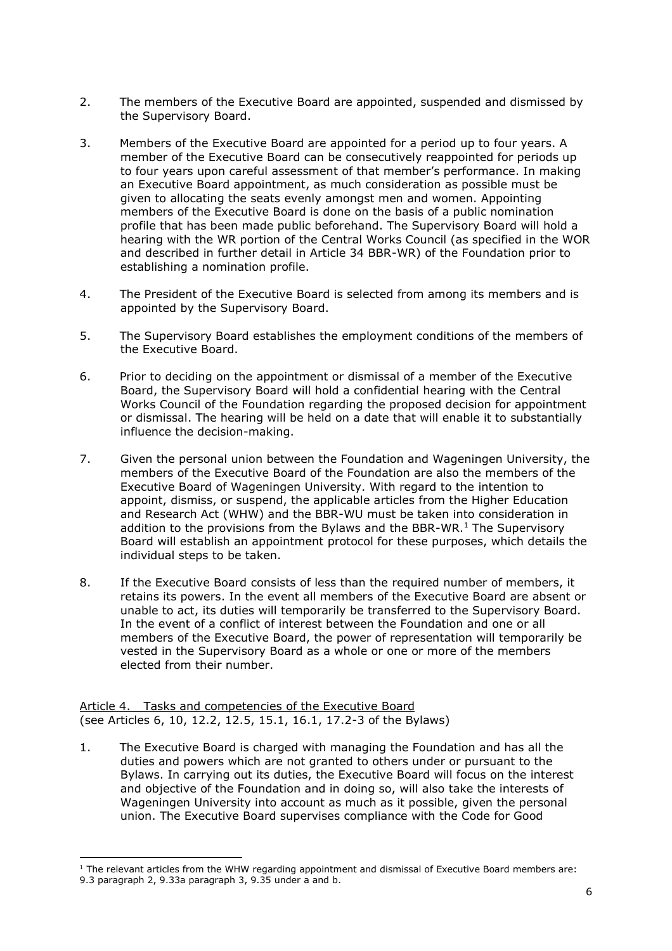- 2. The members of the Executive Board are appointed, suspended and dismissed by the Supervisory Board.
- 3. Members of the Executive Board are appointed for a period up to four years. A member of the Executive Board can be consecutively reappointed for periods up to four years upon careful assessment of that member's performance. In making an Executive Board appointment, as much consideration as possible must be given to allocating the seats evenly amongst men and women. Appointing members of the Executive Board is done on the basis of a public nomination profile that has been made public beforehand. The Supervisory Board will hold a hearing with the WR portion of the Central Works Council (as specified in the WOR and described in further detail in Article 34 BBR-WR) of the Foundation prior to establishing a nomination profile.
- 4. The President of the Executive Board is selected from among its members and is appointed by the Supervisory Board.
- 5. The Supervisory Board establishes the employment conditions of the members of the Executive Board.
- 6. Prior to deciding on the appointment or dismissal of a member of the Executive Board, the Supervisory Board will hold a confidential hearing with the Central Works Council of the Foundation regarding the proposed decision for appointment or dismissal. The hearing will be held on a date that will enable it to substantially influence the decision-making.
- 7. Given the personal union between the Foundation and Wageningen University, the members of the Executive Board of the Foundation are also the members of the Executive Board of Wageningen University. With regard to the intention to appoint, dismiss, or suspend, the applicable articles from the Higher Education and Research Act (WHW) and the BBR-WU must be taken into consideration in addition to the provisions from the Bylaws and the BBR-WR. $<sup>1</sup>$  The Supervisory</sup> Board will establish an appointment protocol for these purposes, which details the individual steps to be taken.
- 8. If the Executive Board consists of less than the required number of members, it retains its powers. In the event all members of the Executive Board are absent or unable to act, its duties will temporarily be transferred to the Supervisory Board. In the event of a conflict of interest between the Foundation and one or all members of the Executive Board, the power of representation will temporarily be vested in the Supervisory Board as a whole or one or more of the members elected from their number.

Article 4. Tasks and competencies of the Executive Board (see Articles 6, 10, 12.2, 12.5, 15.1, 16.1, 17.2-3 of the Bylaws)

1. The Executive Board is charged with managing the Foundation and has all the duties and powers which are not granted to others under or pursuant to the Bylaws. In carrying out its duties, the Executive Board will focus on the interest and objective of the Foundation and in doing so, will also take the interests of Wageningen University into account as much as it possible, given the personal union. The Executive Board supervises compliance with the Code for Good

 $1$  The relevant articles from the WHW regarding appointment and dismissal of Executive Board members are: 9.3 paragraph 2, 9.33a paragraph 3, 9.35 under a and b.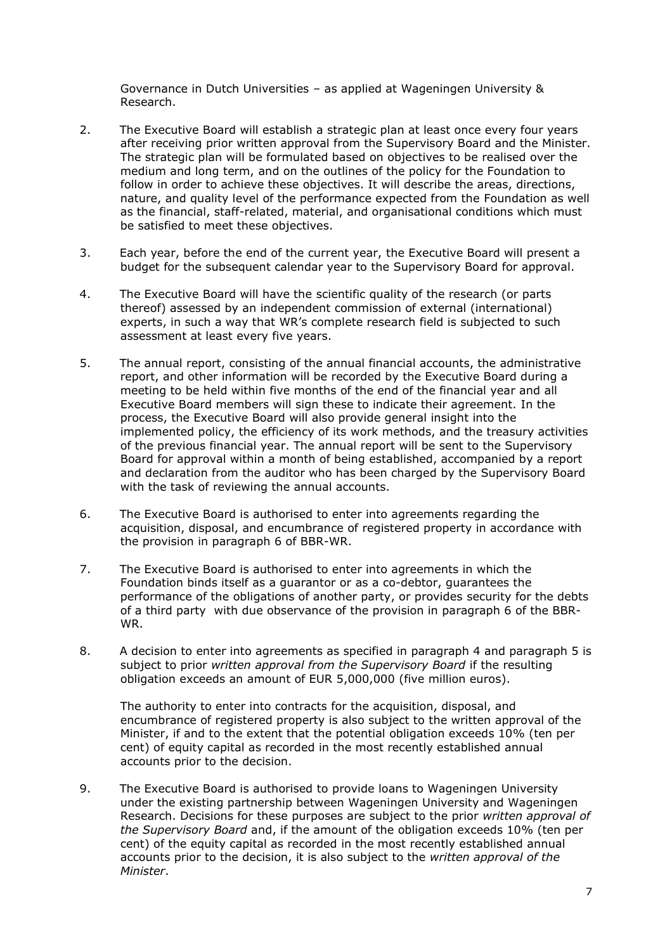Governance in Dutch Universities – as applied at Wageningen University & Research.

- 2. The Executive Board will establish a strategic plan at least once every four years after receiving prior written approval from the Supervisory Board and the Minister. The strategic plan will be formulated based on objectives to be realised over the medium and long term, and on the outlines of the policy for the Foundation to follow in order to achieve these objectives. It will describe the areas, directions, nature, and quality level of the performance expected from the Foundation as well as the financial, staff-related, material, and organisational conditions which must be satisfied to meet these objectives.
- 3. Each year, before the end of the current year, the Executive Board will present a budget for the subsequent calendar year to the Supervisory Board for approval.
- 4. The Executive Board will have the scientific quality of the research (or parts thereof) assessed by an independent commission of external (international) experts, in such a way that WR's complete research field is subjected to such assessment at least every five years.
- 5. The annual report, consisting of the annual financial accounts, the administrative report, and other information will be recorded by the Executive Board during a meeting to be held within five months of the end of the financial year and all Executive Board members will sign these to indicate their agreement. In the process, the Executive Board will also provide general insight into the implemented policy, the efficiency of its work methods, and the treasury activities of the previous financial year. The annual report will be sent to the Supervisory Board for approval within a month of being established, accompanied by a report and declaration from the auditor who has been charged by the Supervisory Board with the task of reviewing the annual accounts.
- 6. The Executive Board is authorised to enter into agreements regarding the acquisition, disposal, and encumbrance of registered property in accordance with the provision in paragraph 6 of BBR-WR.
- 7. The Executive Board is authorised to enter into agreements in which the Foundation binds itself as a guarantor or as a co-debtor, guarantees the performance of the obligations of another party, or provides security for the debts of a third party with due observance of the provision in paragraph 6 of the BBR-WR.
- 8. A decision to enter into agreements as specified in paragraph 4 and paragraph 5 is subject to prior *written approval from the Supervisory Board* if the resulting obligation exceeds an amount of EUR 5,000,000 (five million euros).

The authority to enter into contracts for the acquisition, disposal, and encumbrance of registered property is also subject to the written approval of the Minister, if and to the extent that the potential obligation exceeds 10% (ten per cent) of equity capital as recorded in the most recently established annual accounts prior to the decision.

9. The Executive Board is authorised to provide loans to Wageningen University under the existing partnership between Wageningen University and Wageningen Research. Decisions for these purposes are subject to the prior *written approval of the Supervisory Board* and, if the amount of the obligation exceeds 10% (ten per cent) of the equity capital as recorded in the most recently established annual accounts prior to the decision, it is also subject to the *written approval of the Minister*.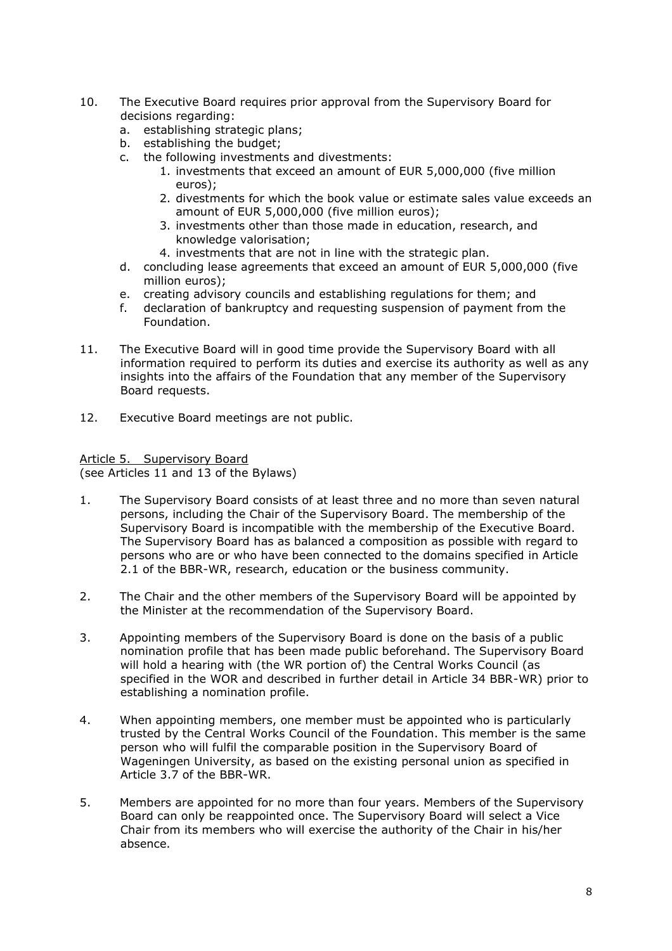- 10. The Executive Board requires prior approval from the Supervisory Board for decisions regarding:
	- a. establishing strategic plans;
	- b. establishing the budget;<br>c. the following investment
	- the following investments and divestments:
		- 1. investments that exceed an amount of EUR 5,000,000 (five million euros);
		- 2. divestments for which the book value or estimate sales value exceeds an amount of EUR 5,000,000 (five million euros);
		- 3. investments other than those made in education, research, and knowledge valorisation;
		- 4. investments that are not in line with the strategic plan.
	- d. concluding lease agreements that exceed an amount of EUR 5,000,000 (five million euros);
	- e. creating advisory councils and establishing regulations for them; and
	- f. declaration of bankruptcy and requesting suspension of payment from the Foundation.
- 11. The Executive Board will in good time provide the Supervisory Board with all information required to perform its duties and exercise its authority as well as any insights into the affairs of the Foundation that any member of the Supervisory Board requests.
- 12. Executive Board meetings are not public.

Article 5. Supervisory Board (see Articles 11 and 13 of the Bylaws)

- 1. The Supervisory Board consists of at least three and no more than seven natural persons, including the Chair of the Supervisory Board. The membership of the Supervisory Board is incompatible with the membership of the Executive Board. The Supervisory Board has as balanced a composition as possible with regard to persons who are or who have been connected to the domains specified in Article 2.1 of the BBR-WR, research, education or the business community.
- 2. The Chair and the other members of the Supervisory Board will be appointed by the Minister at the recommendation of the Supervisory Board.
- 3. Appointing members of the Supervisory Board is done on the basis of a public nomination profile that has been made public beforehand. The Supervisory Board will hold a hearing with (the WR portion of) the Central Works Council (as specified in the WOR and described in further detail in Article 34 BBR-WR) prior to establishing a nomination profile.
- 4. When appointing members, one member must be appointed who is particularly trusted by the Central Works Council of the Foundation. This member is the same person who will fulfil the comparable position in the Supervisory Board of Wageningen University, as based on the existing personal union as specified in Article 3.7 of the BBR-WR.
- 5. Members are appointed for no more than four years. Members of the Supervisory Board can only be reappointed once. The Supervisory Board will select a Vice Chair from its members who will exercise the authority of the Chair in his/her absence.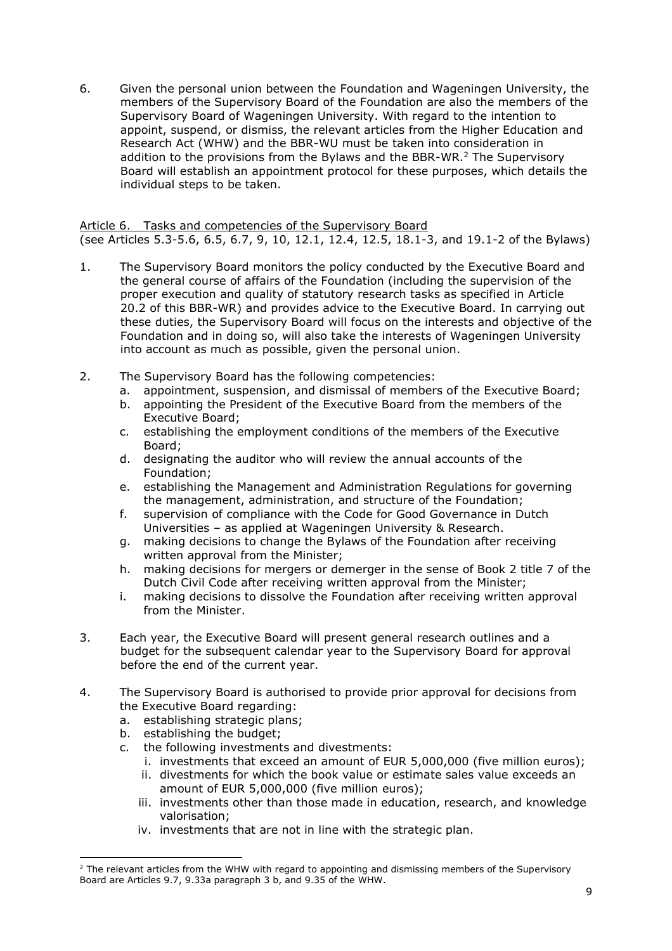6. Given the personal union between the Foundation and Wageningen University, the members of the Supervisory Board of the Foundation are also the members of the Supervisory Board of Wageningen University. With regard to the intention to appoint, suspend, or dismiss, the relevant articles from the Higher Education and Research Act (WHW) and the BBR-WU must be taken into consideration in addition to the provisions from the Bylaws and the BBR-WR.<sup>2</sup> The Supervisory Board will establish an appointment protocol for these purposes, which details the individual steps to be taken.

Article 6. Tasks and competencies of the Supervisory Board (see Articles 5.3-5.6, 6.5, 6.7, 9, 10, 12.1, 12.4, 12.5, 18.1-3, and 19.1-2 of the Bylaws)

- 1. The Supervisory Board monitors the policy conducted by the Executive Board and the general course of affairs of the Foundation (including the supervision of the proper execution and quality of statutory research tasks as specified in Article 20.2 of this BBR-WR) and provides advice to the Executive Board. In carrying out these duties, the Supervisory Board will focus on the interests and objective of the Foundation and in doing so, will also take the interests of Wageningen University into account as much as possible, given the personal union.
- 2. The Supervisory Board has the following competencies:
	- a. appointment, suspension, and dismissal of members of the Executive Board;
		- b. appointing the President of the Executive Board from the members of the Executive Board;
		- c. establishing the employment conditions of the members of the Executive Board;
		- d. designating the auditor who will review the annual accounts of the Foundation;
		- e. establishing the Management and Administration Regulations for governing the management, administration, and structure of the Foundation;
		- f. supervision of compliance with the Code for Good Governance in Dutch Universities – as applied at Wageningen University & Research.
		- g. making decisions to change the Bylaws of the Foundation after receiving written approval from the Minister;
		- h. making decisions for mergers or demerger in the sense of Book 2 title 7 of the Dutch Civil Code after receiving written approval from the Minister;
		- i. making decisions to dissolve the Foundation after receiving written approval from the Minister.
- 3. Each year, the Executive Board will present general research outlines and a budget for the subsequent calendar year to the Supervisory Board for approval before the end of the current year.
- 4. The Supervisory Board is authorised to provide prior approval for decisions from the Executive Board regarding:
	- a. establishing strategic plans;
	- b. establishing the budget;
	- c. the following investments and divestments:
		- i. investments that exceed an amount of EUR 5,000,000 (five million euros);
		- ii. divestments for which the book value or estimate sales value exceeds an amount of EUR 5,000,000 (five million euros);
		- iii. investments other than those made in education, research, and knowledge valorisation;
		- iv. investments that are not in line with the strategic plan.

 $2$  The relevant articles from the WHW with regard to appointing and dismissing members of the Supervisory Board are Articles 9.7, 9.33a paragraph 3 b, and 9.35 of the WHW.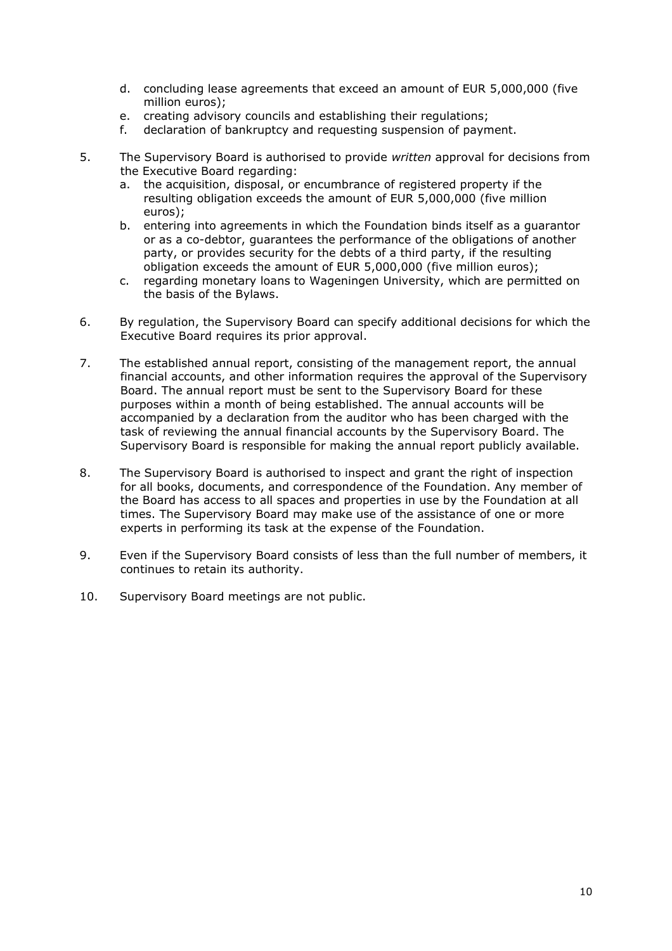- d. concluding lease agreements that exceed an amount of EUR 5,000,000 (five million euros);
- e. creating advisory councils and establishing their regulations;
- f. declaration of bankruptcy and requesting suspension of payment.
- 5. The Supervisory Board is authorised to provide *written* approval for decisions from the Executive Board regarding:
	- a. the acquisition, disposal, or encumbrance of registered property if the resulting obligation exceeds the amount of EUR 5,000,000 (five million euros);
	- b. entering into agreements in which the Foundation binds itself as a guarantor or as a co-debtor, guarantees the performance of the obligations of another party, or provides security for the debts of a third party, if the resulting obligation exceeds the amount of EUR 5,000,000 (five million euros);
	- c. regarding monetary loans to Wageningen University, which are permitted on the basis of the Bylaws.
- 6. By regulation, the Supervisory Board can specify additional decisions for which the Executive Board requires its prior approval.
- 7. The established annual report, consisting of the management report, the annual financial accounts, and other information requires the approval of the Supervisory Board. The annual report must be sent to the Supervisory Board for these purposes within a month of being established. The annual accounts will be accompanied by a declaration from the auditor who has been charged with the task of reviewing the annual financial accounts by the Supervisory Board. The Supervisory Board is responsible for making the annual report publicly available.
- 8. The Supervisory Board is authorised to inspect and grant the right of inspection for all books, documents, and correspondence of the Foundation. Any member of the Board has access to all spaces and properties in use by the Foundation at all times. The Supervisory Board may make use of the assistance of one or more experts in performing its task at the expense of the Foundation.
- 9. Even if the Supervisory Board consists of less than the full number of members, it continues to retain its authority.
- 10. Supervisory Board meetings are not public.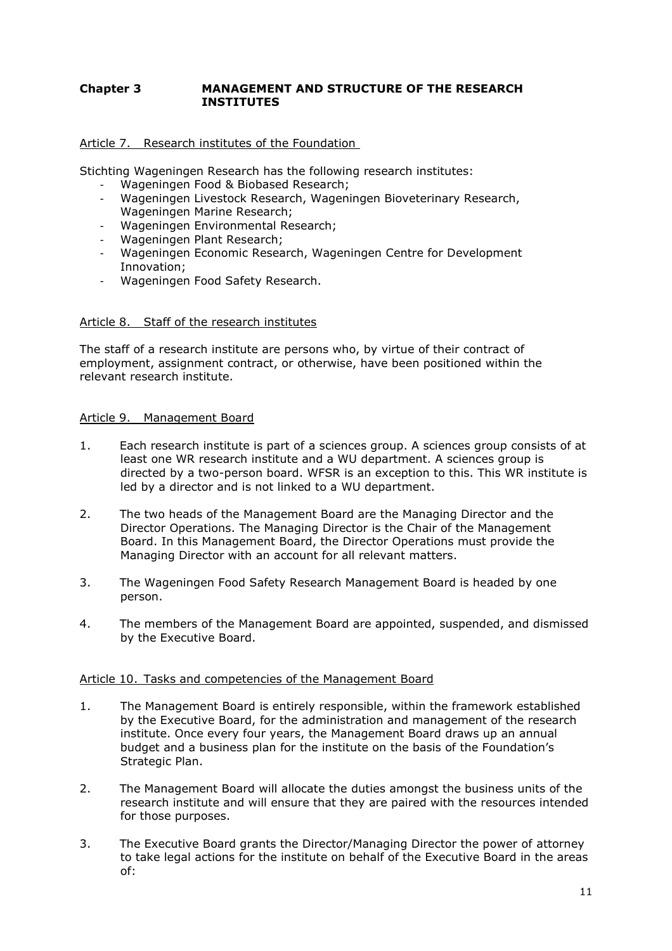# **Chapter 3 MANAGEMENT AND STRUCTURE OF THE RESEARCH INSTITUTES**

# Article 7. Research institutes of the Foundation

Stichting Wageningen Research has the following research institutes:

- Wageningen Food & Biobased Research;
- Wageningen Livestock Research, Wageningen Bioveterinary Research, Wageningen Marine Research;
- Wageningen Environmental Research;
- Wageningen Plant Research;
- Wageningen Economic Research, Wageningen Centre for Development Innovation;
- Wageningen Food Safety Research.

#### Article 8. Staff of the research institutes

The staff of a research institute are persons who, by virtue of their contract of employment, assignment contract, or otherwise, have been positioned within the relevant research institute.

# Article 9. Management Board

- 1. Each research institute is part of a sciences group. A sciences group consists of at least one WR research institute and a WU department. A sciences group is directed by a two-person board. WFSR is an exception to this. This WR institute is led by a director and is not linked to a WU department.
- 2. The two heads of the Management Board are the Managing Director and the Director Operations. The Managing Director is the Chair of the Management Board. In this Management Board, the Director Operations must provide the Managing Director with an account for all relevant matters.
- 3. The Wageningen Food Safety Research Management Board is headed by one person.
- 4. The members of the Management Board are appointed, suspended, and dismissed by the Executive Board.

# Article 10. Tasks and competencies of the Management Board

- 1. The Management Board is entirely responsible, within the framework established by the Executive Board, for the administration and management of the research institute. Once every four years, the Management Board draws up an annual budget and a business plan for the institute on the basis of the Foundation's Strategic Plan.
- 2. The Management Board will allocate the duties amongst the business units of the research institute and will ensure that they are paired with the resources intended for those purposes.
- 3. The Executive Board grants the Director/Managing Director the power of attorney to take legal actions for the institute on behalf of the Executive Board in the areas of: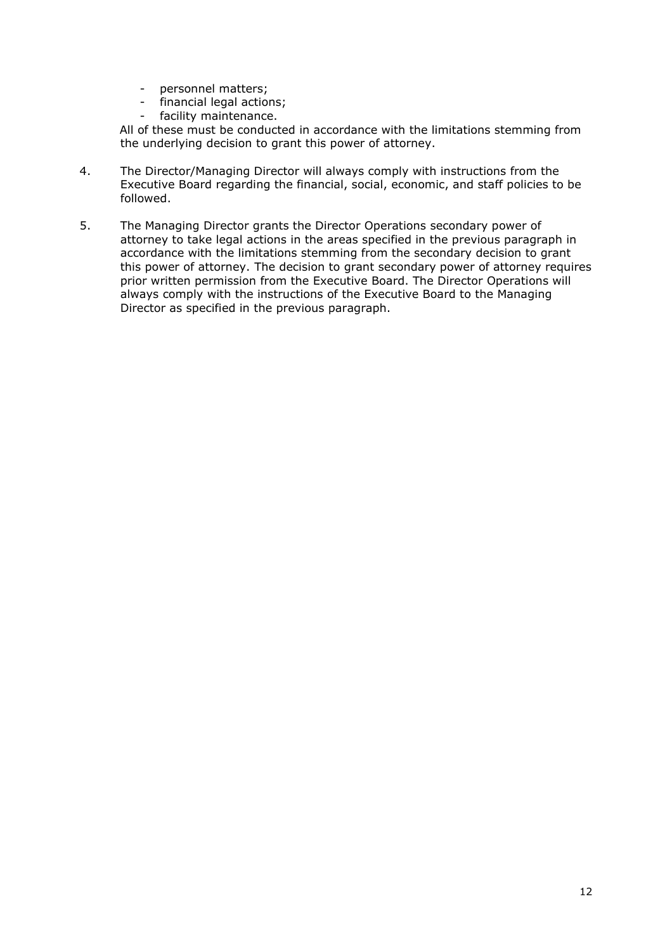- personnel matters;
- financial legal actions;
- facility maintenance.

All of these must be conducted in accordance with the limitations stemming from the underlying decision to grant this power of attorney.

- 4. The Director/Managing Director will always comply with instructions from the Executive Board regarding the financial, social, economic, and staff policies to be followed.
- 5. The Managing Director grants the Director Operations secondary power of attorney to take legal actions in the areas specified in the previous paragraph in accordance with the limitations stemming from the secondary decision to grant this power of attorney. The decision to grant secondary power of attorney requires prior written permission from the Executive Board. The Director Operations will always comply with the instructions of the Executive Board to the Managing Director as specified in the previous paragraph.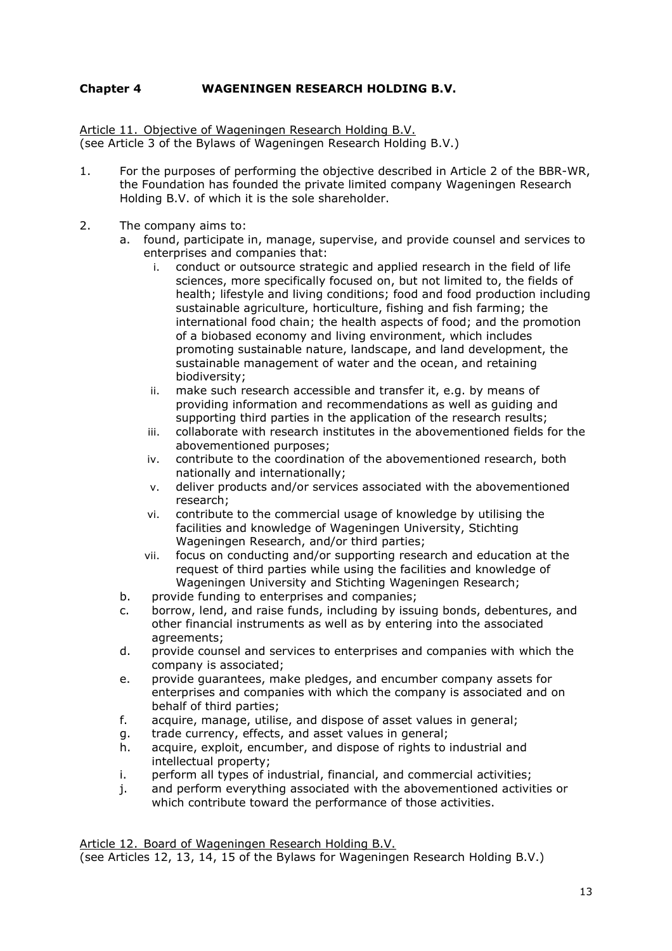# **Chapter 4 WAGENINGEN RESEARCH HOLDING B.V.**

Article 11. Objective of Wageningen Research Holding B.V. (see Article 3 of the Bylaws of Wageningen Research Holding B.V.)

- 1. For the purposes of performing the objective described in Article 2 of the BBR-WR, the Foundation has founded the private limited company Wageningen Research Holding B.V. of which it is the sole shareholder.
- 2. The company aims to:
	- a. found, participate in, manage, supervise, and provide counsel and services to enterprises and companies that:
		- i. conduct or outsource strategic and applied research in the field of life sciences, more specifically focused on, but not limited to, the fields of health; lifestyle and living conditions; food and food production including sustainable agriculture, horticulture, fishing and fish farming; the international food chain; the health aspects of food; and the promotion of a biobased economy and living environment, which includes promoting sustainable nature, landscape, and land development, the sustainable management of water and the ocean, and retaining biodiversity;
		- ii. make such research accessible and transfer it, e.g. by means of providing information and recommendations as well as guiding and supporting third parties in the application of the research results;
		- iii. collaborate with research institutes in the abovementioned fields for the abovementioned purposes;
		- iv. contribute to the coordination of the abovementioned research, both nationally and internationally;
		- v. deliver products and/or services associated with the abovementioned research;
		- vi. contribute to the commercial usage of knowledge by utilising the facilities and knowledge of Wageningen University, Stichting Wageningen Research, and/or third parties;
		- vii. focus on conducting and/or supporting research and education at the request of third parties while using the facilities and knowledge of Wageningen University and Stichting Wageningen Research;
	- b. provide funding to enterprises and companies;
	- c. borrow, lend, and raise funds, including by issuing bonds, debentures, and other financial instruments as well as by entering into the associated agreements;
	- d. provide counsel and services to enterprises and companies with which the company is associated;
	- e. provide guarantees, make pledges, and encumber company assets for enterprises and companies with which the company is associated and on behalf of third parties;
	- f. acquire, manage, utilise, and dispose of asset values in general;
	- g. trade currency, effects, and asset values in general;
	- h. acquire, exploit, encumber, and dispose of rights to industrial and intellectual property;
	- i. perform all types of industrial, financial, and commercial activities;
	- j. and perform everything associated with the abovementioned activities or which contribute toward the performance of those activities.

Article 12. Board of Wageningen Research Holding B.V.

(see Articles 12, 13, 14, 15 of the Bylaws for Wageningen Research Holding B.V.)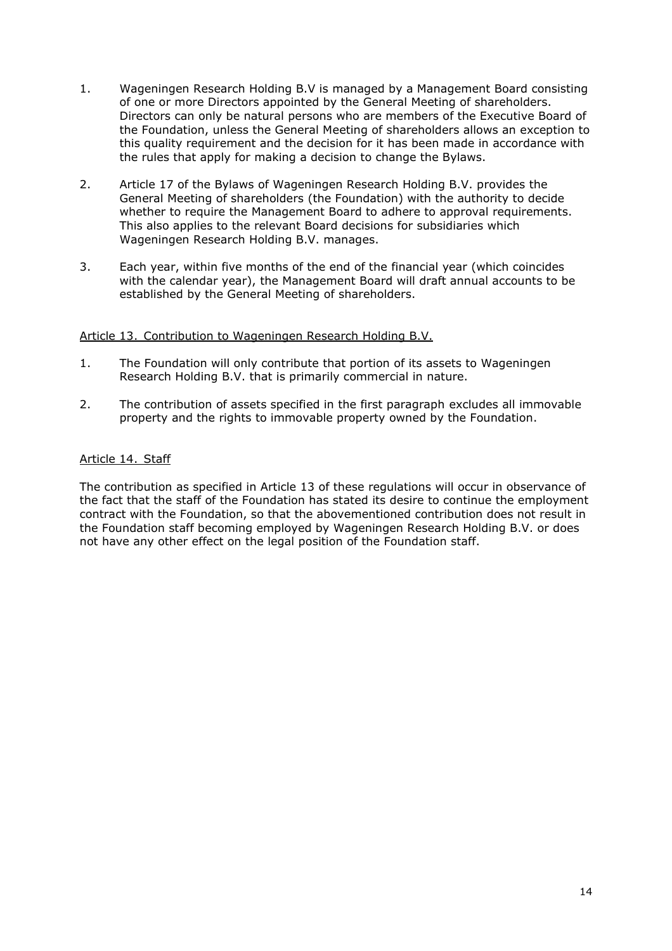- 1. Wageningen Research Holding B.V is managed by a Management Board consisting of one or more Directors appointed by the General Meeting of shareholders. Directors can only be natural persons who are members of the Executive Board of the Foundation, unless the General Meeting of shareholders allows an exception to this quality requirement and the decision for it has been made in accordance with the rules that apply for making a decision to change the Bylaws.
- 2. Article 17 of the Bylaws of Wageningen Research Holding B.V. provides the General Meeting of shareholders (the Foundation) with the authority to decide whether to require the Management Board to adhere to approval requirements. This also applies to the relevant Board decisions for subsidiaries which Wageningen Research Holding B.V. manages.
- 3. Each year, within five months of the end of the financial year (which coincides with the calendar year), the Management Board will draft annual accounts to be established by the General Meeting of shareholders.

# Article 13. Contribution to Wageningen Research Holding B.V.

- 1. The Foundation will only contribute that portion of its assets to Wageningen Research Holding B.V. that is primarily commercial in nature.
- 2. The contribution of assets specified in the first paragraph excludes all immovable property and the rights to immovable property owned by the Foundation.

# Article 14. Staff

The contribution as specified in Article 13 of these regulations will occur in observance of the fact that the staff of the Foundation has stated its desire to continue the employment contract with the Foundation, so that the abovementioned contribution does not result in the Foundation staff becoming employed by Wageningen Research Holding B.V. or does not have any other effect on the legal position of the Foundation staff.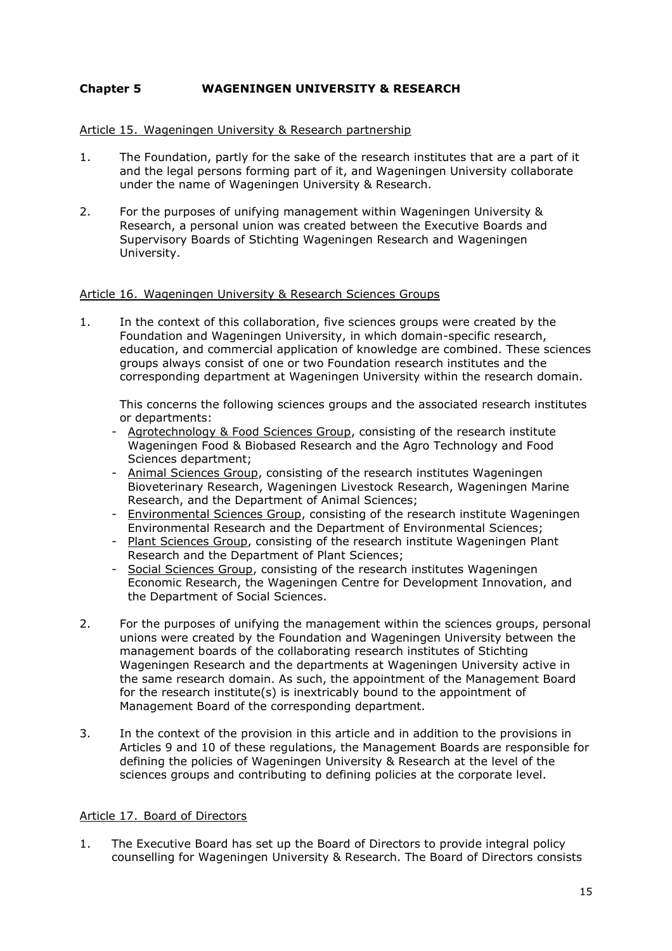# **Chapter 5 WAGENINGEN UNIVERSITY & RESEARCH**

#### Article 15. Wageningen University & Research partnership

- 1. The Foundation, partly for the sake of the research institutes that are a part of it and the legal persons forming part of it, and Wageningen University collaborate under the name of Wageningen University & Research.
- 2. For the purposes of unifying management within Wageningen University & Research, a personal union was created between the Executive Boards and Supervisory Boards of Stichting Wageningen Research and Wageningen University.

#### Article 16. Wageningen University & Research Sciences Groups

1. In the context of this collaboration, five sciences groups were created by the Foundation and Wageningen University, in which domain-specific research, education, and commercial application of knowledge are combined. These sciences groups always consist of one or two Foundation research institutes and the corresponding department at Wageningen University within the research domain.

This concerns the following sciences groups and the associated research institutes or departments:

- Agrotechnology & Food Sciences Group, consisting of the research institute Wageningen Food & Biobased Research and the Agro Technology and Food Sciences department;
- Animal Sciences Group, consisting of the research institutes Wageningen Bioveterinary Research, Wageningen Livestock Research, Wageningen Marine Research, and the Department of Animal Sciences;
- Environmental Sciences Group, consisting of the research institute Wageningen Environmental Research and the Department of Environmental Sciences;
- Plant Sciences Group, consisting of the research institute Wageningen Plant Research and the Department of Plant Sciences;
- Social Sciences Group, consisting of the research institutes Wageningen Economic Research, the Wageningen Centre for Development Innovation, and the Department of Social Sciences.
- 2. For the purposes of unifying the management within the sciences groups, personal unions were created by the Foundation and Wageningen University between the management boards of the collaborating research institutes of Stichting Wageningen Research and the departments at Wageningen University active in the same research domain. As such, the appointment of the Management Board for the research institute(s) is inextricably bound to the appointment of Management Board of the corresponding department.
- 3. In the context of the provision in this article and in addition to the provisions in Articles 9 and 10 of these regulations, the Management Boards are responsible for defining the policies of Wageningen University & Research at the level of the sciences groups and contributing to defining policies at the corporate level.

#### Article 17. Board of Directors

1. The Executive Board has set up the Board of Directors to provide integral policy counselling for Wageningen University & Research. The Board of Directors consists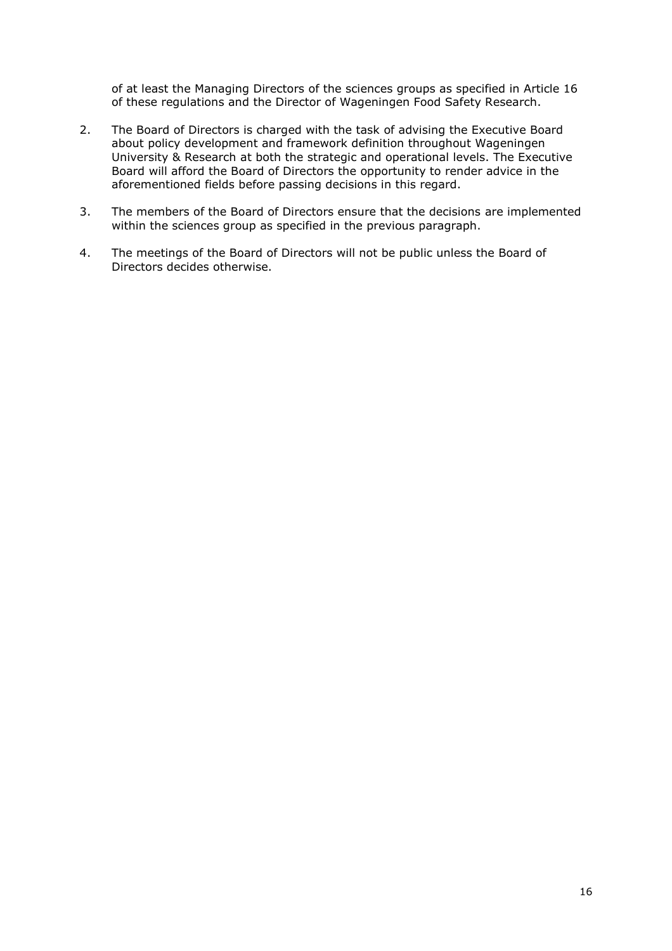of at least the Managing Directors of the sciences groups as specified in Article 16 of these regulations and the Director of Wageningen Food Safety Research.

- 2. The Board of Directors is charged with the task of advising the Executive Board about policy development and framework definition throughout Wageningen University & Research at both the strategic and operational levels. The Executive Board will afford the Board of Directors the opportunity to render advice in the aforementioned fields before passing decisions in this regard.
- 3. The members of the Board of Directors ensure that the decisions are implemented within the sciences group as specified in the previous paragraph.
- 4. The meetings of the Board of Directors will not be public unless the Board of Directors decides otherwise.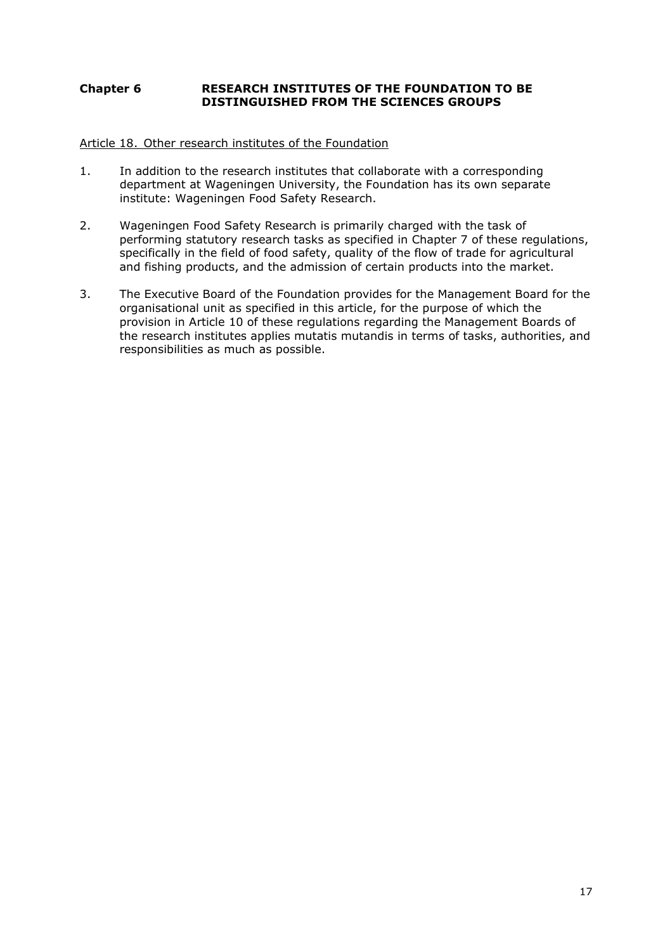# **Chapter 6 RESEARCH INSTITUTES OF THE FOUNDATION TO BE DISTINGUISHED FROM THE SCIENCES GROUPS**

### Article 18. Other research institutes of the Foundation

- 1. In addition to the research institutes that collaborate with a corresponding department at Wageningen University, the Foundation has its own separate institute: Wageningen Food Safety Research.
- 2. Wageningen Food Safety Research is primarily charged with the task of performing statutory research tasks as specified in Chapter 7 of these regulations, specifically in the field of food safety, quality of the flow of trade for agricultural and fishing products, and the admission of certain products into the market.
- 3. The Executive Board of the Foundation provides for the Management Board for the organisational unit as specified in this article, for the purpose of which the provision in Article 10 of these regulations regarding the Management Boards of the research institutes applies mutatis mutandis in terms of tasks, authorities, and responsibilities as much as possible.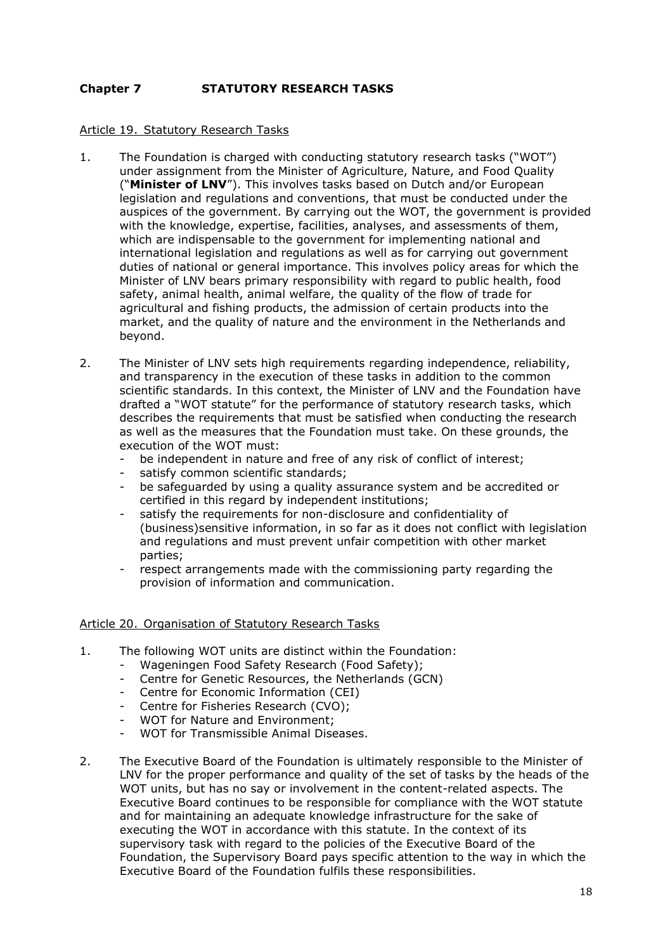# **Chapter 7 STATUTORY RESEARCH TASKS**

#### Article 19. Statutory Research Tasks

- 1. The Foundation is charged with conducting statutory research tasks ("WOT") under assignment from the Minister of Agriculture, Nature, and Food Quality ("**Minister of LNV**"). This involves tasks based on Dutch and/or European legislation and regulations and conventions, that must be conducted under the auspices of the government. By carrying out the WOT, the government is provided with the knowledge, expertise, facilities, analyses, and assessments of them, which are indispensable to the government for implementing national and international legislation and regulations as well as for carrying out government duties of national or general importance. This involves policy areas for which the Minister of LNV bears primary responsibility with regard to public health, food safety, animal health, animal welfare, the quality of the flow of trade for agricultural and fishing products, the admission of certain products into the market, and the quality of nature and the environment in the Netherlands and beyond.
- 2. The Minister of LNV sets high requirements regarding independence, reliability, and transparency in the execution of these tasks in addition to the common scientific standards. In this context, the Minister of LNV and the Foundation have drafted a "WOT statute" for the performance of statutory research tasks, which describes the requirements that must be satisfied when conducting the research as well as the measures that the Foundation must take. On these grounds, the execution of the WOT must:
	- be independent in nature and free of any risk of conflict of interest;
	- satisfy common scientific standards;
	- be safeguarded by using a quality assurance system and be accredited or certified in this regard by independent institutions;
	- satisfy the requirements for non-disclosure and confidentiality of (business)sensitive information, in so far as it does not conflict with legislation and regulations and must prevent unfair competition with other market parties;
	- respect arrangements made with the commissioning party regarding the provision of information and communication.

#### Article 20. Organisation of Statutory Research Tasks

- 1. The following WOT units are distinct within the Foundation:
	- Wageningen Food Safety Research (Food Safety);
	- Centre for Genetic Resources, the Netherlands (GCN)
	- Centre for Economic Information (CEI)
	- Centre for Fisheries Research (CVO);
	- WOT for Nature and Environment;
	- WOT for Transmissible Animal Diseases.
- 2. The Executive Board of the Foundation is ultimately responsible to the Minister of LNV for the proper performance and quality of the set of tasks by the heads of the WOT units, but has no say or involvement in the content-related aspects. The Executive Board continues to be responsible for compliance with the WOT statute and for maintaining an adequate knowledge infrastructure for the sake of executing the WOT in accordance with this statute. In the context of its supervisory task with regard to the policies of the Executive Board of the Foundation, the Supervisory Board pays specific attention to the way in which the Executive Board of the Foundation fulfils these responsibilities.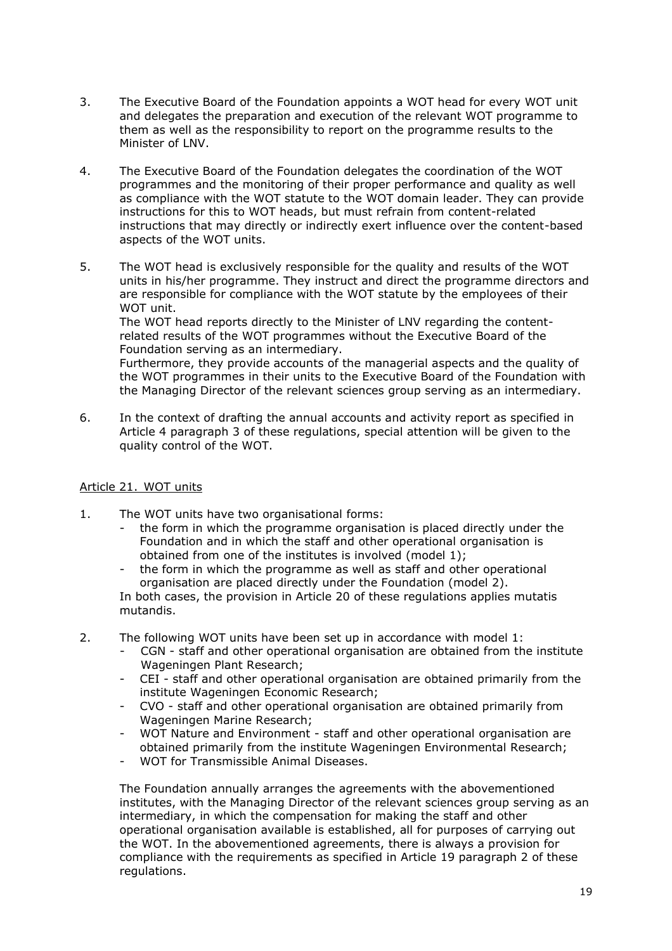- 3. The Executive Board of the Foundation appoints a WOT head for every WOT unit and delegates the preparation and execution of the relevant WOT programme to them as well as the responsibility to report on the programme results to the Minister of LNV.
- 4. The Executive Board of the Foundation delegates the coordination of the WOT programmes and the monitoring of their proper performance and quality as well as compliance with the WOT statute to the WOT domain leader. They can provide instructions for this to WOT heads, but must refrain from content-related instructions that may directly or indirectly exert influence over the content-based aspects of the WOT units.
- 5. The WOT head is exclusively responsible for the quality and results of the WOT units in his/her programme. They instruct and direct the programme directors and are responsible for compliance with the WOT statute by the employees of their WOT unit.

The WOT head reports directly to the Minister of LNV regarding the contentrelated results of the WOT programmes without the Executive Board of the Foundation serving as an intermediary.

Furthermore, they provide accounts of the managerial aspects and the quality of the WOT programmes in their units to the Executive Board of the Foundation with the Managing Director of the relevant sciences group serving as an intermediary.

6. In the context of drafting the annual accounts and activity report as specified in Article 4 paragraph 3 of these regulations, special attention will be given to the quality control of the WOT.

# Article 21. WOT units

- 1. The WOT units have two organisational forms:
	- the form in which the programme organisation is placed directly under the Foundation and in which the staff and other operational organisation is obtained from one of the institutes is involved (model 1);
	- the form in which the programme as well as staff and other operational organisation are placed directly under the Foundation (model 2). In both cases, the provision in Article 20 of these regulations applies mutatis mutandis.
- 2. The following WOT units have been set up in accordance with model 1:
	- CGN staff and other operational organisation are obtained from the institute Wageningen Plant Research;
	- CEI staff and other operational organisation are obtained primarily from the institute Wageningen Economic Research;
	- CVO staff and other operational organisation are obtained primarily from Wageningen Marine Research;
	- WOT Nature and Environment staff and other operational organisation are obtained primarily from the institute Wageningen Environmental Research;
	- WOT for Transmissible Animal Diseases.

The Foundation annually arranges the agreements with the abovementioned institutes, with the Managing Director of the relevant sciences group serving as an intermediary, in which the compensation for making the staff and other operational organisation available is established, all for purposes of carrying out the WOT. In the abovementioned agreements, there is always a provision for compliance with the requirements as specified in Article 19 paragraph 2 of these regulations.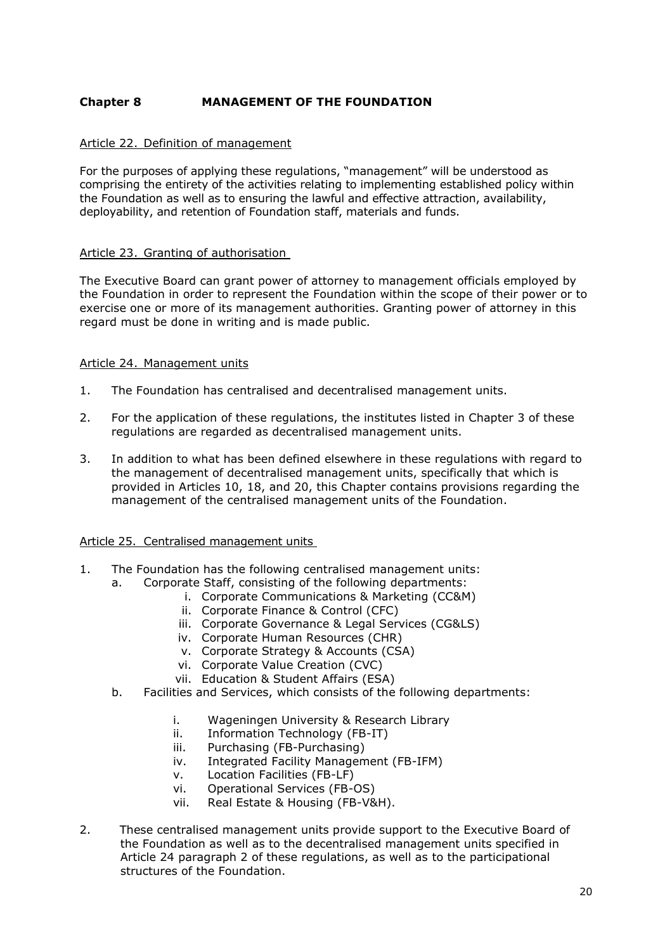# **Chapter 8 MANAGEMENT OF THE FOUNDATION**

### Article 22. Definition of management

For the purposes of applying these regulations, "management" will be understood as comprising the entirety of the activities relating to implementing established policy within the Foundation as well as to ensuring the lawful and effective attraction, availability, deployability, and retention of Foundation staff, materials and funds.

# Article 23. Granting of authorisation

The Executive Board can grant power of attorney to management officials employed by the Foundation in order to represent the Foundation within the scope of their power or to exercise one or more of its management authorities. Granting power of attorney in this regard must be done in writing and is made public.

# Article 24. Management units

- 1. The Foundation has centralised and decentralised management units.
- 2. For the application of these regulations, the institutes listed in Chapter 3 of these regulations are regarded as decentralised management units.
- 3. In addition to what has been defined elsewhere in these regulations with regard to the management of decentralised management units, specifically that which is provided in Articles 10, 18, and 20, this Chapter contains provisions regarding the management of the centralised management units of the Foundation.

#### Article 25. Centralised management units

- 1. The Foundation has the following centralised management units:
	- a. Corporate Staff, consisting of the following departments:
		- i. Corporate Communications & Marketing (CC&M)
		- ii. Corporate Finance & Control (CFC)
		- iii. Corporate Governance & Legal Services (CG&LS)
		- iv. Corporate Human Resources (CHR)
		- v. Corporate Strategy & Accounts (CSA)
		- vi. Corporate Value Creation (CVC)
		- vii. Education & Student Affairs (ESA)
	- b. Facilities and Services, which consists of the following departments:
		- i. Wageningen University & Research Library
		- ii. Information Technology (FB-IT)
		- iii. Purchasing (FB-Purchasing)
		- iv. Integrated Facility Management (FB-IFM)
		- v. Location Facilities (FB-LF)
		- vi. Operational Services (FB-OS)
		- vii. Real Estate & Housing (FB-V&H).
- 2. These centralised management units provide support to the Executive Board of the Foundation as well as to the decentralised management units specified in Article 24 paragraph 2 of these regulations, as well as to the participational structures of the Foundation.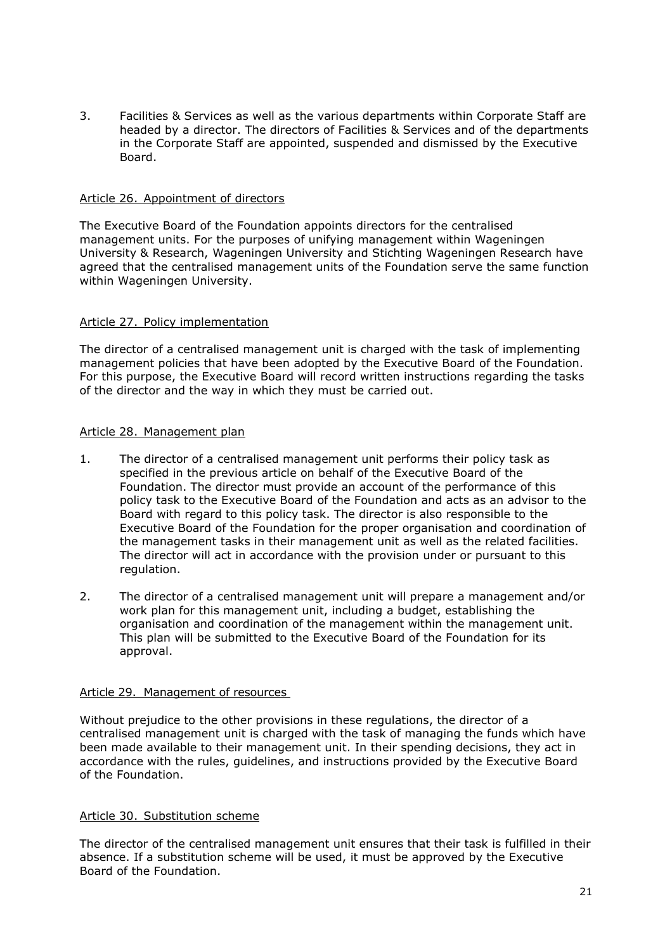3. Facilities & Services as well as the various departments within Corporate Staff are headed by a director. The directors of Facilities & Services and of the departments in the Corporate Staff are appointed, suspended and dismissed by the Executive Board.

### Article 26. Appointment of directors

The Executive Board of the Foundation appoints directors for the centralised management units. For the purposes of unifying management within Wageningen University & Research, Wageningen University and Stichting Wageningen Research have agreed that the centralised management units of the Foundation serve the same function within Wageningen University.

# Article 27. Policy implementation

The director of a centralised management unit is charged with the task of implementing management policies that have been adopted by the Executive Board of the Foundation. For this purpose, the Executive Board will record written instructions regarding the tasks of the director and the way in which they must be carried out.

# Article 28. Management plan

- 1. The director of a centralised management unit performs their policy task as specified in the previous article on behalf of the Executive Board of the Foundation. The director must provide an account of the performance of this policy task to the Executive Board of the Foundation and acts as an advisor to the Board with regard to this policy task. The director is also responsible to the Executive Board of the Foundation for the proper organisation and coordination of the management tasks in their management unit as well as the related facilities. The director will act in accordance with the provision under or pursuant to this regulation.
- 2. The director of a centralised management unit will prepare a management and/or work plan for this management unit, including a budget, establishing the organisation and coordination of the management within the management unit. This plan will be submitted to the Executive Board of the Foundation for its approval.

#### Article 29. Management of resources

Without prejudice to the other provisions in these regulations, the director of a centralised management unit is charged with the task of managing the funds which have been made available to their management unit. In their spending decisions, they act in accordance with the rules, guidelines, and instructions provided by the Executive Board of the Foundation.

#### Article 30. Substitution scheme

The director of the centralised management unit ensures that their task is fulfilled in their absence. If a substitution scheme will be used, it must be approved by the Executive Board of the Foundation.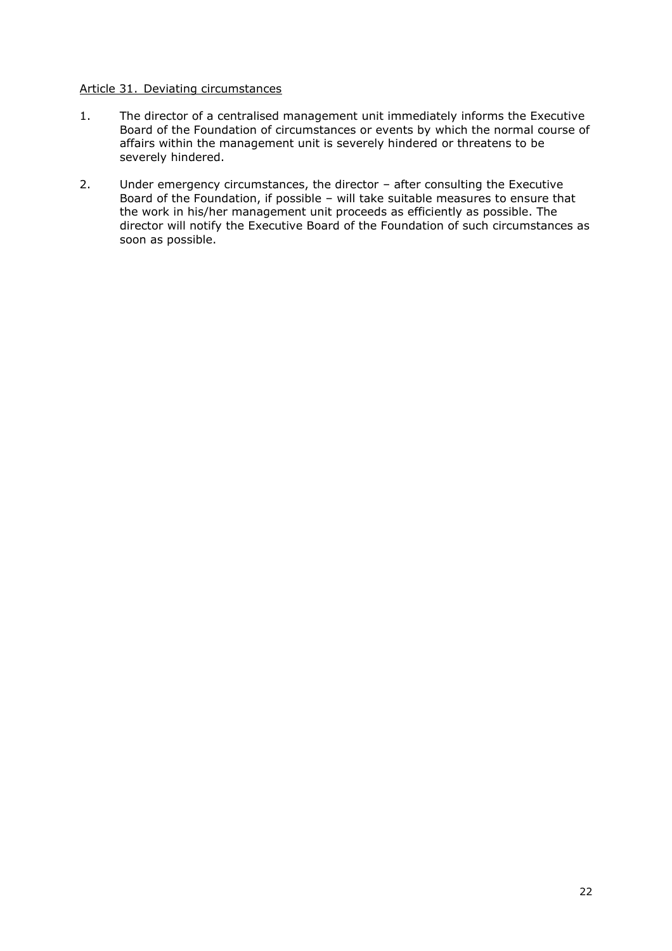#### Article 31. Deviating circumstances

- 1. The director of a centralised management unit immediately informs the Executive Board of the Foundation of circumstances or events by which the normal course of affairs within the management unit is severely hindered or threatens to be severely hindered.
- 2. Under emergency circumstances, the director after consulting the Executive Board of the Foundation, if possible – will take suitable measures to ensure that the work in his/her management unit proceeds as efficiently as possible. The director will notify the Executive Board of the Foundation of such circumstances as soon as possible.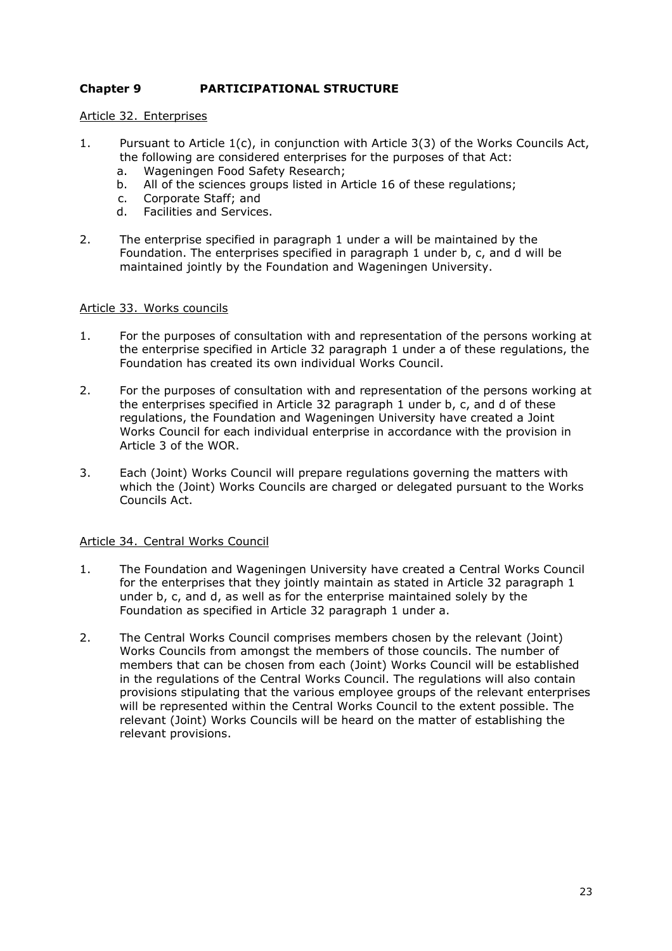# **Chapter 9 PARTICIPATIONAL STRUCTURE**

### Article 32. Enterprises

- 1. Pursuant to Article 1(c), in conjunction with Article 3(3) of the Works Councils Act, the following are considered enterprises for the purposes of that Act:
	- a. Wageningen Food Safety Research;
	- b. All of the sciences groups listed in Article 16 of these regulations;
	- c. Corporate Staff; and
	- d. Facilities and Services.
- 2. The enterprise specified in paragraph 1 under a will be maintained by the Foundation. The enterprises specified in paragraph 1 under b, c, and d will be maintained jointly by the Foundation and Wageningen University.

#### Article 33. Works councils

- 1. For the purposes of consultation with and representation of the persons working at the enterprise specified in Article 32 paragraph 1 under a of these regulations, the Foundation has created its own individual Works Council.
- 2. For the purposes of consultation with and representation of the persons working at the enterprises specified in Article 32 paragraph 1 under b, c, and d of these regulations, the Foundation and Wageningen University have created a Joint Works Council for each individual enterprise in accordance with the provision in Article 3 of the WOR.
- 3. Each (Joint) Works Council will prepare regulations governing the matters with which the (Joint) Works Councils are charged or delegated pursuant to the Works Councils Act.

#### Article 34. Central Works Council

- 1. The Foundation and Wageningen University have created a Central Works Council for the enterprises that they jointly maintain as stated in Article 32 paragraph 1 under b, c, and d, as well as for the enterprise maintained solely by the Foundation as specified in Article 32 paragraph 1 under a.
- 2. The Central Works Council comprises members chosen by the relevant (Joint) Works Councils from amongst the members of those councils. The number of members that can be chosen from each (Joint) Works Council will be established in the regulations of the Central Works Council. The regulations will also contain provisions stipulating that the various employee groups of the relevant enterprises will be represented within the Central Works Council to the extent possible. The relevant (Joint) Works Councils will be heard on the matter of establishing the relevant provisions.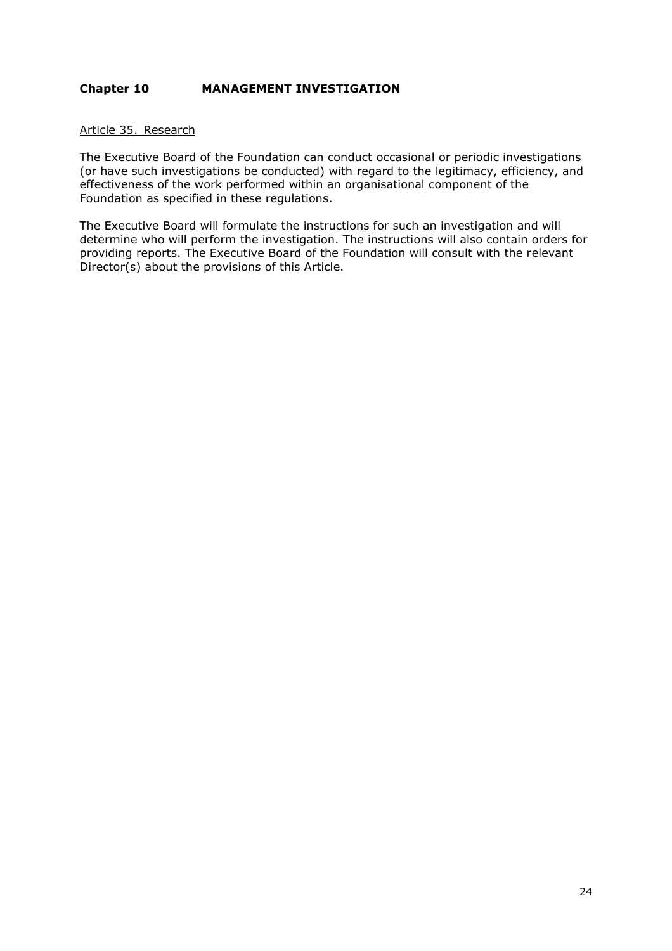# **Chapter 10 MANAGEMENT INVESTIGATION**

#### Article 35. Research

The Executive Board of the Foundation can conduct occasional or periodic investigations (or have such investigations be conducted) with regard to the legitimacy, efficiency, and effectiveness of the work performed within an organisational component of the Foundation as specified in these regulations.

The Executive Board will formulate the instructions for such an investigation and will determine who will perform the investigation. The instructions will also contain orders for providing reports. The Executive Board of the Foundation will consult with the relevant Director(s) about the provisions of this Article.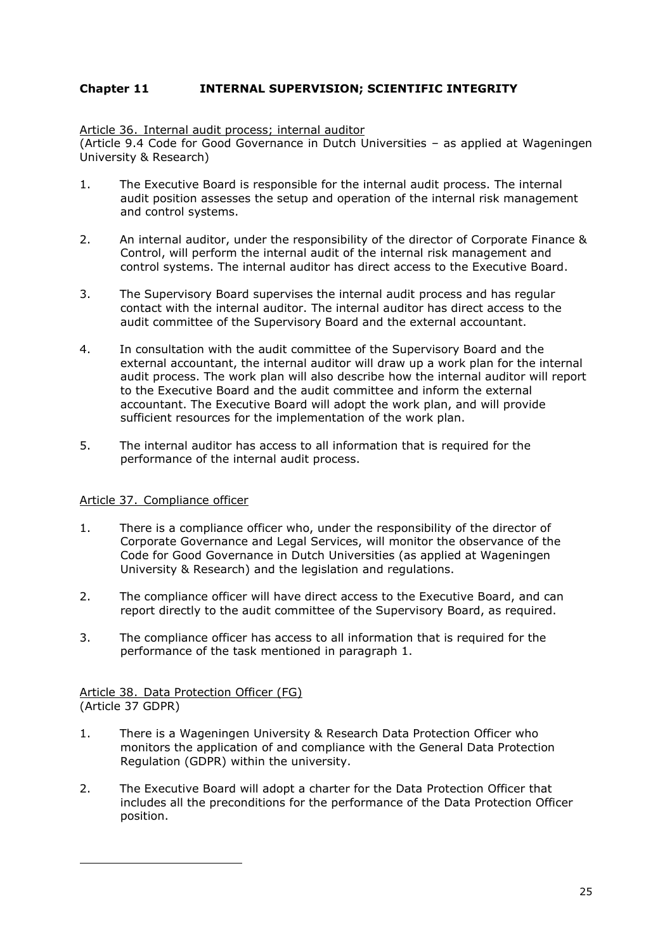# **Chapter 11 INTERNAL SUPERVISION; SCIENTIFIC INTEGRITY**

Article 36. Internal audit process; internal auditor

(Article 9.4 Code for Good Governance in Dutch Universities – as applied at Wageningen University & Research)

- 1. The Executive Board is responsible for the internal audit process. The internal audit position assesses the setup and operation of the internal risk management and control systems.
- 2. An internal auditor, under the responsibility of the director of Corporate Finance & Control, will perform the internal audit of the internal risk management and control systems. The internal auditor has direct access to the Executive Board.
- 3. The Supervisory Board supervises the internal audit process and has regular contact with the internal auditor. The internal auditor has direct access to the audit committee of the Supervisory Board and the external accountant.
- 4. In consultation with the audit committee of the Supervisory Board and the external accountant, the internal auditor will draw up a work plan for the internal audit process. The work plan will also describe how the internal auditor will report to the Executive Board and the audit committee and inform the external accountant. The Executive Board will adopt the work plan, and will provide sufficient resources for the implementation of the work plan.
- 5. The internal auditor has access to all information that is required for the performance of the internal audit process.

### Article 37. Compliance officer

- 1. There is a compliance officer who, under the responsibility of the director of Corporate Governance and Legal Services, will monitor the observance of the Code for Good Governance in Dutch Universities (as applied at Wageningen University & Research) and the legislation and regulations.
- 2. The compliance officer will have direct access to the Executive Board, and can report directly to the audit committee of the Supervisory Board, as required.
- 3. The compliance officer has access to all information that is required for the performance of the task mentioned in paragraph 1.

Article 38. Data Protection Officer (FG) (Article 37 GDPR)

- 1. There is a Wageningen University & Research Data Protection Officer who monitors the application of and compliance with the General Data Protection Regulation (GDPR) within the university.
- 2. The Executive Board will adopt a charter for the Data Protection Officer that includes all the preconditions for the performance of the Data Protection Officer position.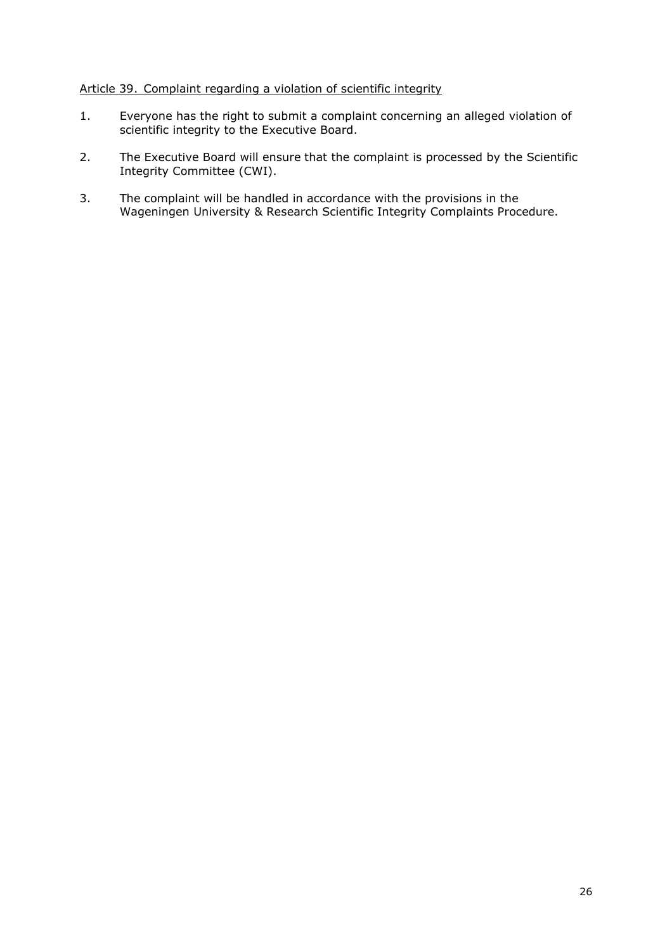# Article 39. Complaint regarding a violation of scientific integrity

- 1. Everyone has the right to submit a complaint concerning an alleged violation of scientific integrity to the Executive Board.
- 2. The Executive Board will ensure that the complaint is processed by the Scientific Integrity Committee (CWI).
- 3. The complaint will be handled in accordance with the provisions in the Wageningen University & Research Scientific Integrity Complaints Procedure.